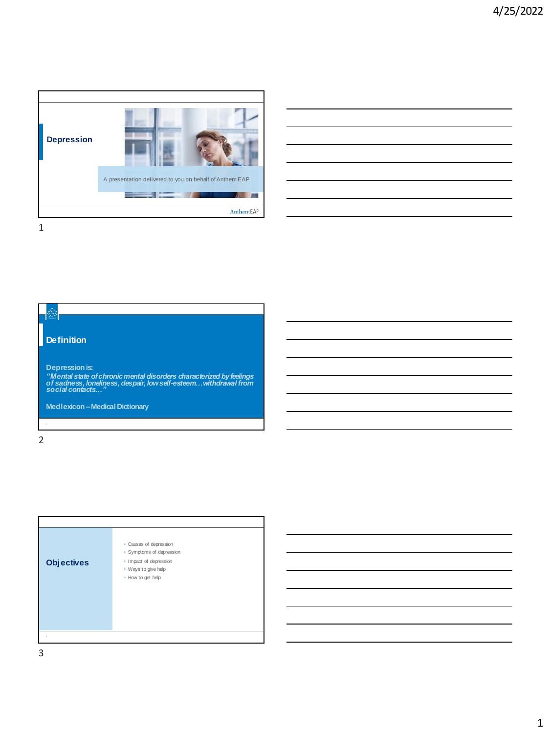

|                                                            |  | <u> 1989 - Andrea Andrew Maria (h. 1989).</u> |
|------------------------------------------------------------|--|-----------------------------------------------|
|                                                            |  |                                               |
|                                                            |  |                                               |
|                                                            |  |                                               |
| <u> 1980 - Jan James Barnett, fransk politik (d. 1980)</u> |  |                                               |
|                                                            |  |                                               |



2

|                   | · Causes of depression<br>• Symptoms of depression                 |
|-------------------|--------------------------------------------------------------------|
| <b>Objectives</b> | · Impact of depression<br>· Ways to give help<br>• How to get help |
| $\overline{1}$    |                                                                    |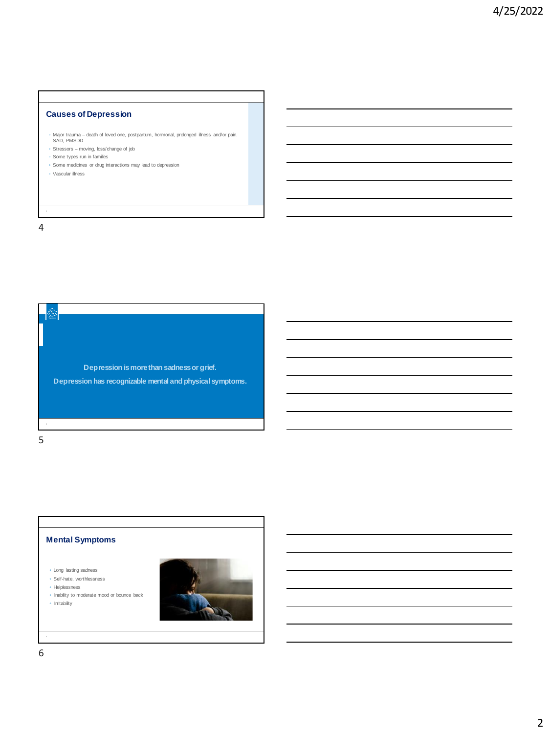### **Causes of Depression**

- Major trauma death of loved one, postpartum, hormonal, prolonged illness and/or pain. SAD, PMSDD
- Stressors moving, loss/change of job
- Some types run in families
- Some medicines or drug interactions may lead to depression
- Vascular illness

4

Transform

**Depression is more than sadness or grief. Depression has recognizable mental and physical symptoms.**

5

### **Mental Symptoms**

◦ Long lasting sadness

◦ Self-hate, worthlessness

- Helplessness
- Inability to moderate mood or bounce back ◦ Irritability

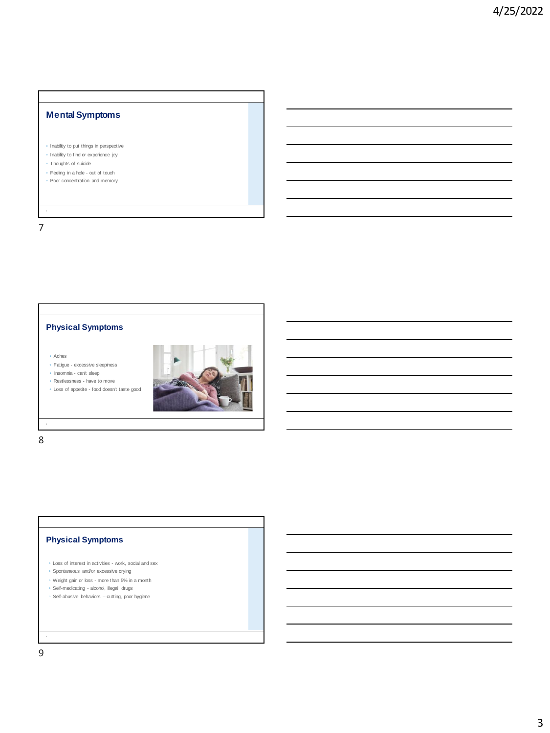# **Mental Symptoms**

- Inability to put things in perspective
- Inability to find or experience joy
- Thoughts of suicide
- Feeling in a hole out of touch ◦ Poor concentration and memory

7

### **Physical Symptoms**

- Aches
- Fatigue excessive sleepiness
- Insomnia can't sleep
- Restlessness have to move ◦ Loss of appetite - food doesn't taste good



8

### **Physical Symptoms**

- Loss of interest in activities work, social and sex
- Spontaneous and/or excessive crying
- Weight gain or loss more than 5% in a month
- Self-medicating alcohol, illegal drugs
- Self-abusive behaviors cutting, poor hygiene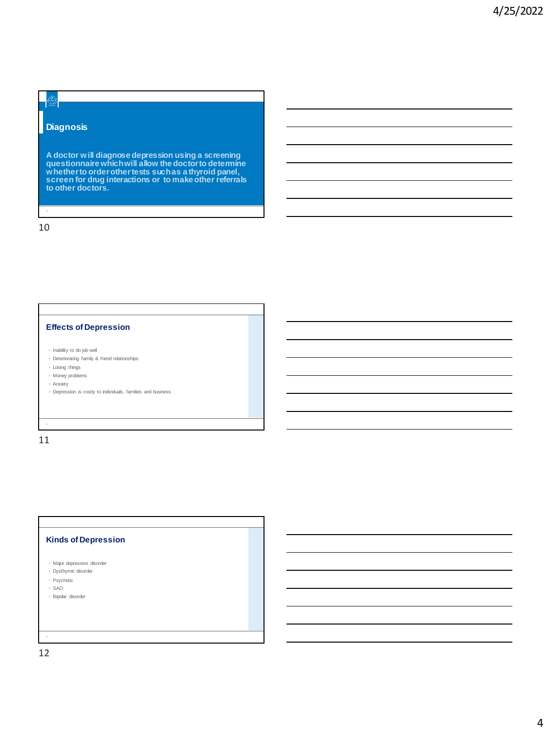### **Diagnosis**

Transform

**A doctor will diagnose depression using a screening questionnaire which will allow the doctor to determine whether to order other tests such as a thyroid panel, screen for drug interactions or to make other referrals to other doctors.** 

10

#### **Effects of Depression**

- Inability to do job well
- Deteriorating family & friend relationships
- Losing things
- Money problems
- Anxiety
- Depression is costly to individuals, families and business

11

### **Kinds of Depression**

- Major depressive disorder
- Dysthymic disorder
- Psychotic ◦ SAD
- Bipolar disorder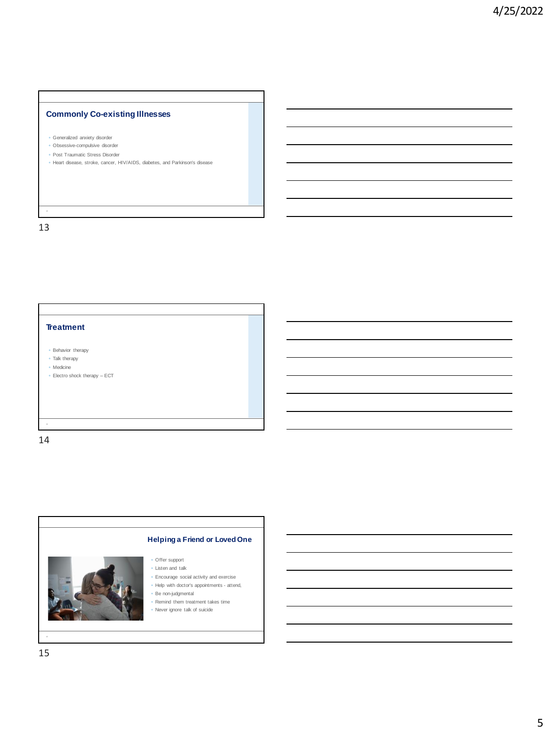### **Commonly Co-existing Illnesses**

- Generalized anxiety disorder
- Obsessive-compulsive disorder
- Post Traumatic Stress Disorder
- Heart disease, stroke, cancer, HIV/AIDS, diabetes, and Parkinson's disease

13

**Treatment**

- Behavior therapy
- Talk therapy
- Medicine
- Electro shock therapy ECT

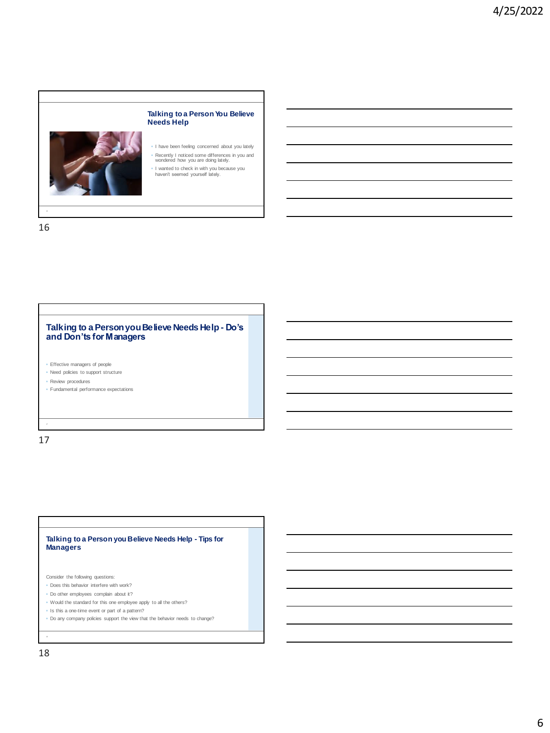

16

#### **Talking to a Person you Believe Needs Help - Do's and Don'ts for Managers**

◦ Effective managers of people

◦ Need policies to support structure

◦ Review procedures

◦ Fundamental performance expectations

17

#### **Talking to a Person you Believe Needs Help - Tips for Managers**

Consider the following questions:

- Does this behavior interfere with work?
- Do other employees complain about it?
- Would the standard for this one employee apply to all the others?
- Is this a one-time event or part of a pattern?
- Do any company policies support the view that the behavior needs to change?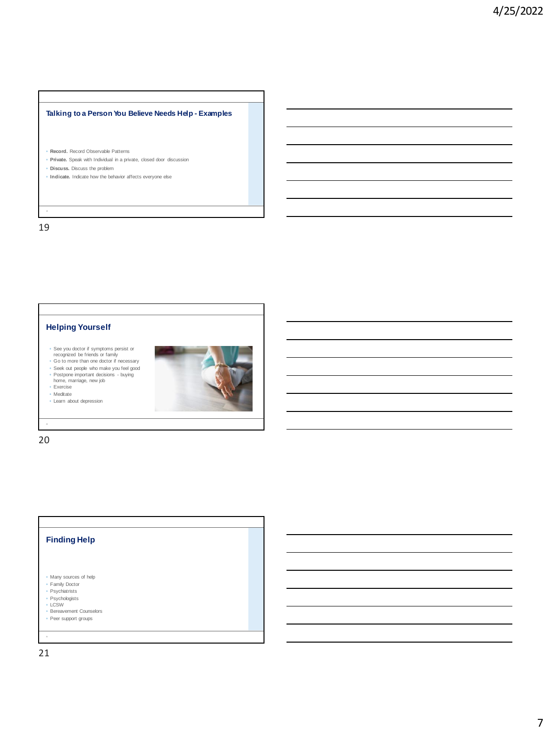### **Talking to a Person You Believe Needs Help - Examples**

- **Record.** Record Observable Patterns
- **Private.** Speak with Individual in a private, closed door discussion
- **Discuss.** Discuss the problem
- **Indicate.** Indicate how the behavior affects everyone else

19 19

#### **Helping Yourself**

- See you doctor if symptoms persist or recognized be friends or family Go to more than one doctor if necessary
- 
- Seek out people who make you feel good Postpone important decisions buying home, marriage, new job



- Exercise ◦ Meditate
- Learn about depression



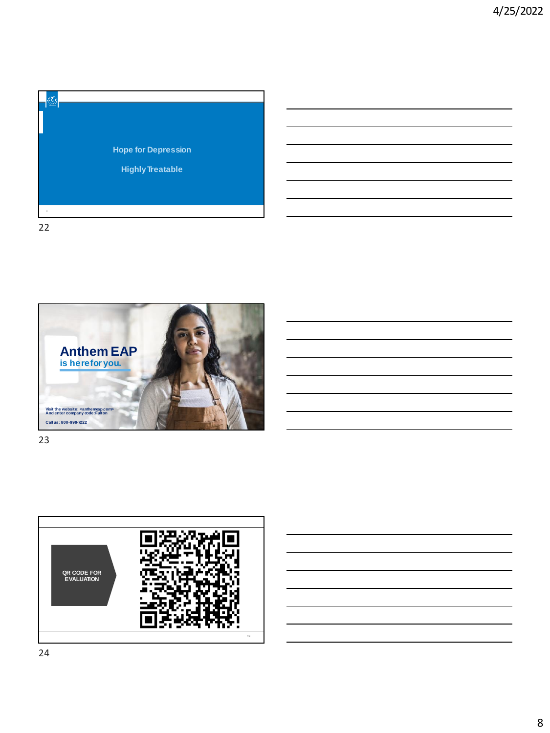